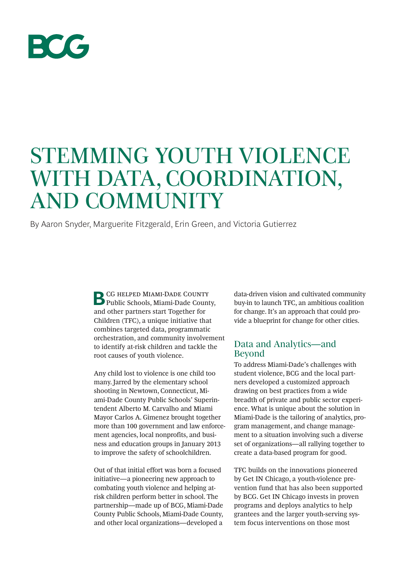

# STEMMING YOUTH VIOLENCE WITH DATA, COORDINATION, AND COMMUNITY

By Aaron Snyder, Marguerite Fitzgerald, Erin Green, and Victoria Gutierrez

BCG HELPED MIAMI-DADE COUNTY Public Schools, Miami-Dade County, and other partners start Together for Children (TFC), a unique initiative that combines targeted data, programmatic orchestration, and community involvement to identify at-risk children and tackle the root causes of youth violence.

Any child lost to violence is one child too many. Jarred by the elementary school shooting in Newtown, Connecticut, Miami-Dade County Public Schools' Superintendent Alberto M. Carvalho and Miami Mayor Carlos A. Gimenez brought together more than 100 government and law enforcement agencies, local nonprofits, and business and education groups in January 2013 to improve the safety of schoolchildren.

Out of that initial effort was born a focused initiative—a pioneering new approach to combating youth violence and helping atrisk children perform better in school. The partnership—made up of BCG, Miami-Dade County Public Schools, Miami-Dade County, and other local organizations—developed a

data-driven vision and cultivated community buy-in to launch TFC, an ambitious coalition for change. It's an approach that could provide a blueprint for change for other cities.

## Data and Analytics—and Beyond

To address Miami-Dade's challenges with student violence, BCG and the local partners developed a customized approach drawing on best practices from a wide breadth of private and public sector experience. What is unique about the solution in Miami-Dade is the tailoring of analytics, program management, and change management to a situation involving such a diverse set of organizations—all rallying together to create a data-based program for good.

TFC builds on the innovations pioneered by Get IN Chicago, a youth-violence prevention fund that has also been supported by BCG. Get IN Chicago invests in proven programs and deploys analytics to help grantees and the larger youth-serving system focus interventions on those most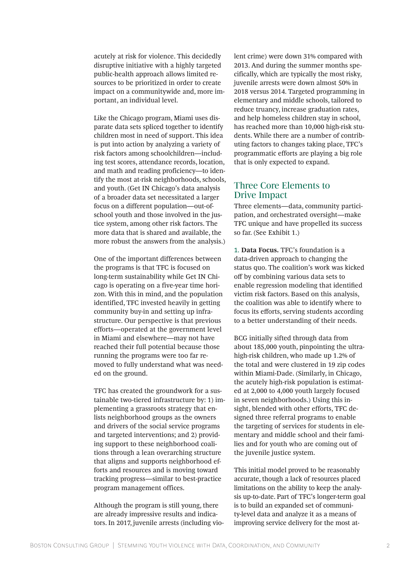acutely at risk for violence. This decidedly disruptive initiative with a highly targeted public-health approach allows limited resources to be prioritized in order to create impact on a communitywide and, more important, an individual level.

Like the Chicago program, Miami uses disparate data sets spliced together to identify children most in need of support. This idea is put into action by analyzing a variety of risk factors among schoolchildren—including test scores, attendance records, location, and math and reading proficiency—to identify the most at-risk neighborhoods, schools, and youth. (Get IN Chicago's data analysis of a broader data set necessitated a larger focus on a different population—out-ofschool youth and those involved in the justice system, among other risk factors. The more data that is shared and available, the more robust the answers from the analysis.)

One of the important differences between the programs is that TFC is focused on long-term sustainability while Get IN Chicago is operating on a five-year time horizon. With this in mind, and the population identified, TFC invested heavily in getting community buy-in and setting up infrastructure. Our perspective is that previous efforts—operated at the government level in Miami and elsewhere—may not have reached their full potential because those running the programs were too far removed to fully understand what was needed on the ground.

TFC has created the groundwork for a sustainable two-tiered infrastructure by: 1) implementing a grassroots strategy that enlists neighborhood groups as the owners and drivers of the social service programs and targeted interventions; and 2) providing support to these neighborhood coalitions through a lean overarching structure that aligns and supports neighborhood efforts and resources and is moving toward tracking progress—similar to best-practice program management offices.

Although the program is still young, there are already impressive results and indicators. In 2017, juvenile arrests (including violent crime) were down 31% compared with 2013. And during the summer months specifically, which are typically the most risky, juvenile arrests were down almost 50% in 2018 versus 2014. Targeted programming in elementary and middle schools, tailored to reduce truancy, increase graduation rates, and help homeless children stay in school, has reached more than 10,000 high-risk students. While there are a number of contributing factors to changes taking place, TFC's programmatic efforts are playing a big role that is only expected to expand.

## Three Core Elements to Drive Impact

Three elements—data, community participation, and orchestrated oversight—make TFC unique and have propelled its success so far. (See Exhibit 1.)

1. **Data Focus.** TFC's foundation is a data-driven approach to changing the status quo. The coalition's work was kicked off by combining various data sets to enable regression modeling that identified victim risk factors. Based on this analysis, the coalition was able to identify where to focus its efforts, serving students according to a better understanding of their needs.

BCG initially sifted through data from about 185,000 youth, pinpointing the ultrahigh-risk children, who made up 1.2% of the total and were clustered in 19 zip codes within Miami-Dade. (Similarly, in Chicago, the acutely high-risk population is estimated at 2,000 to 4,000 youth largely focused in seven neighborhoods.) Using this insight, blended with other efforts, TFC designed three referral programs to enable the targeting of services for students in elementary and middle school and their families and for youth who are coming out of the juvenile justice system.

This initial model proved to be reasonably accurate, though a lack of resources placed limitations on the ability to keep the analysis up-to-date. Part of TFC's longer-term goal is to build an expanded set of community-level data and analyze it as a means of improving service delivery for the most at-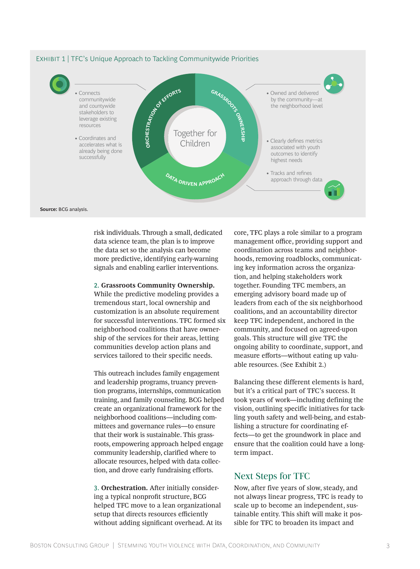

risk individuals. Through a small, dedicated data science team, the plan is to improve the data set so the analysis can become more predictive, identifying early-warning signals and enabling earlier interventions.

#### 2. **Grassroots Community Ownership.**

While the predictive modeling provides a tremendous start, local ownership and customization is an absolute requirement for successful interventions. TFC formed six neighborhood coalitions that have ownership of the services for their areas, letting communities develop action plans and services tailored to their specific needs.

This outreach includes family engagement and leadership programs, truancy prevention programs, internships, communication training, and family counseling. BCG helped create an organizational framework for the neighborhood coalitions—including committees and governance rules—to ensure that their work is sustainable. This grassroots, empowering approach helped engage community leadership, clarified where to allocate resources, helped with data collection, and drove early fundraising efforts.

3. **Orchestration.** After initially considering a typical nonprofit structure, BCG helped TFC move to a lean organizational setup that directs resources efficiently without adding significant overhead. At its core, TFC plays a role similar to a program management office, providing support and coordination across teams and neighborhoods, removing roadblocks, communicating key information across the organization, and helping stakeholders work together. Founding TFC members, an emerging advisory board made up of leaders from each of the six neighborhood coalitions, and an accountability director keep TFC independent, anchored in the community, and focused on agreed-upon goals. This structure will give TFC the ongoing ability to coordinate, support, and measure efforts—without eating up valuable resources. (See Exhibit 2.)

Balancing these different elements is hard, but it's a critical part of TFC's success. It took years of work—including defining the vision, outlining specific initiatives for tackling youth safety and well-being, and establishing a structure for coordinating effects—to get the groundwork in place and ensure that the coalition could have a longterm impact.

## Next Steps for TFC

Now, after five years of slow, steady, and not always linear progress, TFC is ready to scale up to become an independent, sustainable entity. This shift will make it possible for TFC to broaden its impact and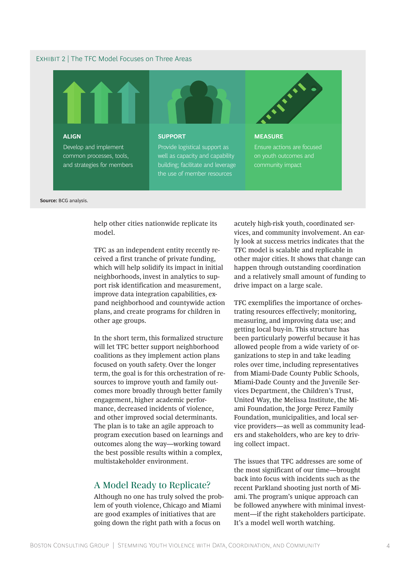#### EXHIBIT 2 | The TFC Model Focuses on Three Areas



help other cities nationwide replicate its model.

TFC as an independent entity recently received a first tranche of private funding, which will help solidify its impact in initial neighborhoods, invest in analytics to support risk identification and measurement, improve data integration capabilities, expand neighborhood and countywide action plans, and create programs for children in other age groups.

In the short term, this formalized structure will let TFC better support neighborhood coalitions as they implement action plans focused on youth safety. Over the longer term, the goal is for this orchestration of resources to improve youth and family outcomes more broadly through better family engagement, higher academic performance, decreased incidents of violence, and other improved social determinants. The plan is to take an agile approach to program execution based on learnings and outcomes along the way—working toward the best possible results within a complex, multistakeholder environment.

#### A Model Ready to Replicate?

Although no one has truly solved the problem of youth violence, Chicago and Miami are good examples of initiatives that are going down the right path with a focus on

acutely high-risk youth, coordinated services, and community involvement. An early look at success metrics indicates that the TFC model is scalable and replicable in other major cities. It shows that change can happen through outstanding coordination and a relatively small amount of funding to drive impact on a large scale.

TFC exemplifies the importance of orchestrating resources effectively; monitoring, measuring, and improving data use; and getting local buy-in. This structure has been particularly powerful because it has allowed people from a wide variety of organizations to step in and take leading roles over time, including representatives from Miami-Dade County Public Schools, Miami-Dade County and the Juvenile Services Department, the Children's Trust, United Way, the Melissa Institute, the Miami Foundation, the Jorge Perez Family Foundation, municipalities, and local service providers—as well as community leaders and stakeholders, who are key to driving collect impact.

The issues that TFC addresses are some of the most significant of our time—brought back into focus with incidents such as the recent Parkland shooting just north of Miami. The program's unique approach can be followed anywhere with minimal investment—if the right stakeholders participate. It's a model well worth watching.